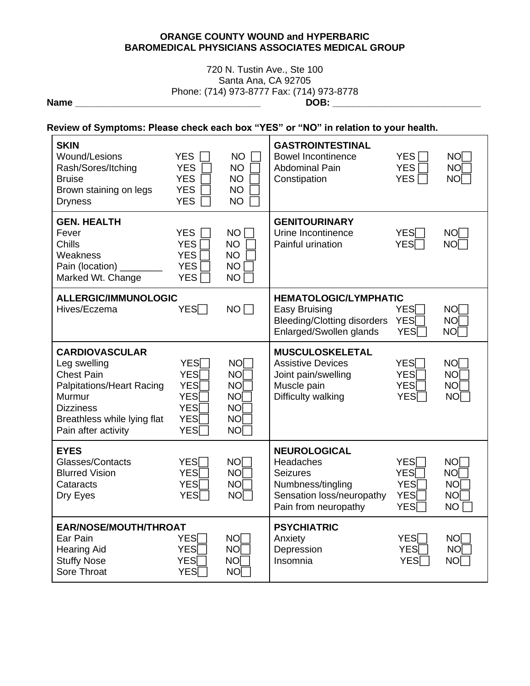#### **ORANGE COUNTY WOUND and HYPERBARIC BAROMEDICAL PHYSICIANS ASSOCIATES MEDICAL GROUP**

### 720 N. Tustin Ave., Ste 100 Santa Ana, CA 92705 Phone: (714) 973-8777 Fax: (714) 973-8778 **Name \_\_\_\_\_\_\_\_\_\_\_\_\_\_\_\_\_\_\_\_\_\_\_\_\_\_\_\_\_\_\_\_\_\_\_ DOB: \_\_\_\_\_\_\_\_\_\_\_\_\_\_\_\_\_\_\_\_\_\_\_\_\_\_\_\_**

 $\overline{\phantom{a}}$ 

# **Review of Symptoms: Please check each box "YES" or "NO" in relation to your health.**

| <b>SKIN</b><br>Wound/Lesions<br>Rash/Sores/Itching<br><b>Bruise</b><br>Brown staining on legs<br><b>Dryness</b>                                                                    | <b>YES</b><br><b>YES</b><br><b>YES</b><br><b>YES</b><br><b>YES</b>                             | <b>NO</b><br><b>NO</b><br><b>NO</b><br><b>NO</b><br><b>NO</b>                                 | <b>GASTROINTESTINAL</b><br><b>Bowel Incontinence</b><br><b>Abdominal Pain</b><br>Constipation                                 | <b>YES</b><br><b>YES</b><br>YES <sup>1</sup>                       | NOT<br>NOT<br>NO <sub>1</sub>                                             |
|------------------------------------------------------------------------------------------------------------------------------------------------------------------------------------|------------------------------------------------------------------------------------------------|-----------------------------------------------------------------------------------------------|-------------------------------------------------------------------------------------------------------------------------------|--------------------------------------------------------------------|---------------------------------------------------------------------------|
| <b>GEN. HEALTH</b><br>Fever<br>Chills<br>Weakness<br>Pain (location)<br>Marked Wt. Change                                                                                          | <b>YES</b><br><b>YES</b><br><b>YES</b><br><b>YES</b><br><b>YES</b>                             | <b>NO</b><br><b>NO</b><br><b>NO</b><br><b>NO</b><br><b>NO</b>                                 | <b>GENITOURINARY</b><br>Urine Incontinence<br>Painful urination                                                               | YES <sub>I</sub><br><b>YES</b>                                     | NOT<br>NOT                                                                |
| <b>ALLERGIC/IMMUNOLOGIC</b><br>Hives/Eczema                                                                                                                                        | $YES\Box$                                                                                      | NO I                                                                                          | <b>HEMATOLOGIC/LYMPHATIC</b><br><b>Easy Bruising</b><br><b>Bleeding/Clotting disorders</b><br>Enlarged/Swollen glands         | <b>YES</b><br><b>YES</b><br><b>YES</b>                             | <b>NO</b><br><b>NO</b><br><b>NO</b>                                       |
| <b>CARDIOVASCULAR</b><br>Leg swelling<br><b>Chest Pain</b><br><b>Palpitations/Heart Racing</b><br>Murmur<br><b>Dizziness</b><br>Breathless while lying flat<br>Pain after activity | <b>YES</b><br><b>YES</b><br><b>YES</b><br><b>YES</b><br><b>YES</b><br><b>YES</b><br><b>YES</b> | NO <sub>I</sub><br><b>NO</b><br><b>NO</b><br><b>NO</b><br><b>NO</b><br><b>NO</b><br><b>NO</b> | <b>MUSCULOSKELETAL</b><br><b>Assistive Devices</b><br>Joint pain/swelling<br>Muscle pain<br>Difficulty walking                | YES <sub>1</sub><br><b>YES</b><br><b>YES</b><br><b>YES</b>         | NO<br>NO <sub>1</sub><br><b>NO</b><br>NO <sub>[</sub>                     |
| <b>EYES</b><br>Glasses/Contacts<br><b>Blurred Vision</b><br>Cataracts<br>Dry Eyes                                                                                                  | <b>YES</b><br><b>YES</b><br><b>YES</b><br><b>YES</b>                                           | <b>NO</b><br><b>NO</b><br>NOT<br><b>NO</b>                                                    | <b>NEUROLOGICAL</b><br>Headaches<br><b>Seizures</b><br>Numbness/tingling<br>Sensation loss/neuropathy<br>Pain from neuropathy | <b>YES</b><br><b>YES</b><br><b>YES</b><br><b>YES</b><br><b>YES</b> | <b>NO</b><br>NO <sub>I</sub><br>NO <sub>[</sub><br><b>NO</b><br><b>NO</b> |
| EAR/NOSE/MOUTH/THROAT<br>Ear Pain<br><b>Hearing Aid</b><br><b>Stuffy Nose</b><br>Sore Throat                                                                                       | <b>YES</b><br><b>YES</b><br><b>YES</b><br><b>YES</b>                                           | <b>NO</b><br><b>NO</b><br>NO <sub>I</sub><br>NO <sub>I</sub>                                  | <b>PSYCHIATRIC</b><br>Anxiety<br>Depression<br>Insomnia                                                                       | <b>YES</b><br><b>YES</b><br><b>YES</b>                             | NOT<br><b>NO</b><br>NO                                                    |